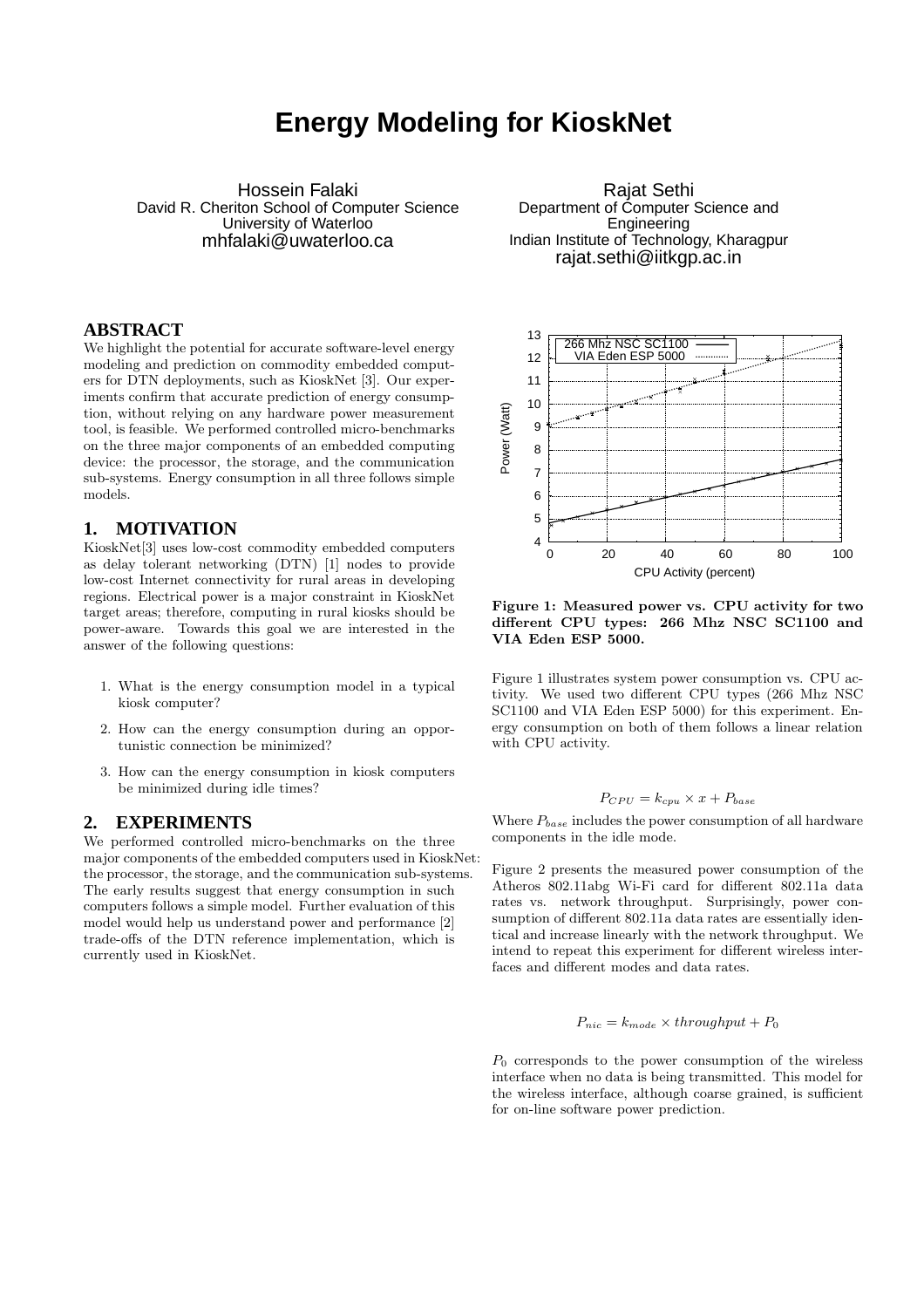# **Energy Modeling for KioskNet**

Hossein Falaki David R. Cheriton School of Computer Science University of Waterloo mhfalaki@uwaterloo.ca

## **ABSTRACT**

We highlight the potential for accurate software-level energy modeling and prediction on commodity embedded computers for DTN deployments, such as KioskNet [3]. Our experiments confirm that accurate prediction of energy consumption, without relying on any hardware power measurement tool, is feasible. We performed controlled micro-benchmarks on the three major components of an embedded computing device: the processor, the storage, and the communication sub-systems. Energy consumption in all three follows simple models.

### **1. MOTIVATION**

KioskNet[3] uses low-cost commodity embedded computers as delay tolerant networking (DTN) [1] nodes to provide low-cost Internet connectivity for rural areas in developing regions. Electrical power is a major constraint in KioskNet target areas; therefore, computing in rural kiosks should be power-aware. Towards this goal we are interested in the answer of the following questions:

- 1. What is the energy consumption model in a typical kiosk computer?
- 2. How can the energy consumption during an opportunistic connection be minimized?
- 3. How can the energy consumption in kiosk computers be minimized during idle times?

#### **2. EXPERIMENTS**

We performed controlled micro-benchmarks on the three major components of the embedded computers used in KioskNet: the processor, the storage, and the communication sub-systems. The early results suggest that energy consumption in such computers follows a simple model. Further evaluation of this model would help us understand power and performance [2] trade-offs of the DTN reference implementation, which is currently used in KioskNet.

Rajat Sethi Department of Computer Science and **Engineering** Indian Institute of Technology, Kharagpur rajat.sethi@iitkgp.ac.in



Figure 1: Measured power vs. CPU activity for two different CPU types: 266 Mhz NSC SC1100 and VIA Eden ESP 5000.

Figure 1 illustrates system power consumption vs. CPU activity. We used two different CPU types (266 Mhz NSC SC1100 and VIA Eden ESP 5000) for this experiment. Energy consumption on both of them follows a linear relation with CPU activity.

#### $P_{CPU} = k_{cpu} \times x + P_{base}$

Where  $P_{base}$  includes the power consumption of all hardware components in the idle mode.

Figure 2 presents the measured power consumption of the Atheros 802.11abg Wi-Fi card for different 802.11a data rates vs. network throughput. Surprisingly, power consumption of different 802.11a data rates are essentially identical and increase linearly with the network throughput. We intend to repeat this experiment for different wireless interfaces and different modes and data rates.

#### $P_{nic} = k_{mode} \times throughput + P_0$

 $P_0$  corresponds to the power consumption of the wireless interface when no data is being transmitted. This model for the wireless interface, although coarse grained, is sufficient for on-line software power prediction.